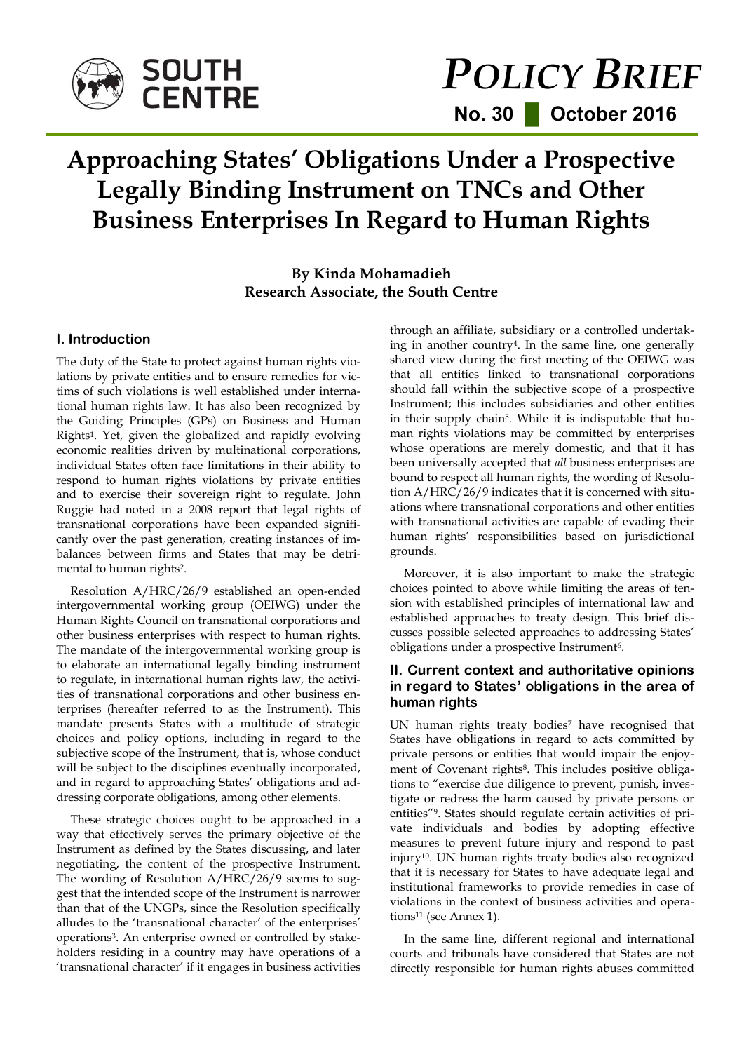

# *POLICY BRIEF*  **No. 30 █ October 2016**

## **Approaching States' Obligations Under a Prospective Legally Binding Instrument on TNCs and Other Business Enterprises In Regard to Human Rights**

## **By Kinda Mohamadieh Research Associate, the South Centre**

## **I. Introduction**

The duty of the State to protect against human rights violations by private entities and to ensure remedies for victims of such violations is well established under international human rights law. It has also been recognized by the Guiding Principles (GPs) on Business and Human Rights1. Yet, given the globalized and rapidly evolving economic realities driven by multinational corporations, individual States often face limitations in their ability to respond to human rights violations by private entities and to exercise their sovereign right to regulate. John Ruggie had noted in a 2008 report that legal rights of transnational corporations have been expanded significantly over the past generation, creating instances of imbalances between firms and States that may be detrimental to human rights2.

Resolution A/HRC/26/9 established an open-ended intergovernmental working group (OEIWG) under the Human Rights Council on transnational corporations and other business enterprises with respect to human rights. The mandate of the intergovernmental working group is to elaborate an international legally binding instrument to regulate, in international human rights law, the activities of transnational corporations and other business enterprises (hereafter referred to as the Instrument). This mandate presents States with a multitude of strategic choices and policy options, including in regard to the subjective scope of the Instrument, that is, whose conduct will be subject to the disciplines eventually incorporated, and in regard to approaching States' obligations and addressing corporate obligations, among other elements.

These strategic choices ought to be approached in a way that effectively serves the primary objective of the Instrument as defined by the States discussing, and later negotiating, the content of the prospective Instrument. The wording of Resolution A/HRC/26/9 seems to suggest that the intended scope of the Instrument is narrower than that of the UNGPs, since the Resolution specifically alludes to the 'transnational character' of the enterprises' operations3. An enterprise owned or controlled by stakeholders residing in a country may have operations of a 'transnational character' if it engages in business activities through an affiliate, subsidiary or a controlled undertaking in another country4. In the same line, one generally shared view during the first meeting of the OEIWG was that all entities linked to transnational corporations should fall within the subjective scope of a prospective Instrument; this includes subsidiaries and other entities in their supply chain5. While it is indisputable that human rights violations may be committed by enterprises whose operations are merely domestic, and that it has been universally accepted that *all* business enterprises are bound to respect all human rights, the wording of Resolution A/HRC/26/9 indicates that it is concerned with situations where transnational corporations and other entities with transnational activities are capable of evading their human rights' responsibilities based on jurisdictional grounds.

Moreover, it is also important to make the strategic choices pointed to above while limiting the areas of tension with established principles of international law and established approaches to treaty design. This brief discusses possible selected approaches to addressing States' obligations under a prospective Instrument<sup>6</sup>.

## **II. Current context and authoritative opinions in regard to States' obligations in the area of human rights**

UN human rights treaty bodies<sup>7</sup> have recognised that States have obligations in regard to acts committed by private persons or entities that would impair the enjoyment of Covenant rights<sup>8</sup>. This includes positive obligations to "exercise due diligence to prevent, punish, investigate or redress the harm caused by private persons or entities"9. States should regulate certain activities of private individuals and bodies by adopting effective measures to prevent future injury and respond to past injury10. UN human rights treaty bodies also recognized that it is necessary for States to have adequate legal and institutional frameworks to provide remedies in case of violations in the context of business activities and operations<sup>11</sup> (see Annex 1).

In the same line, different regional and international courts and tribunals have considered that States are not directly responsible for human rights abuses committed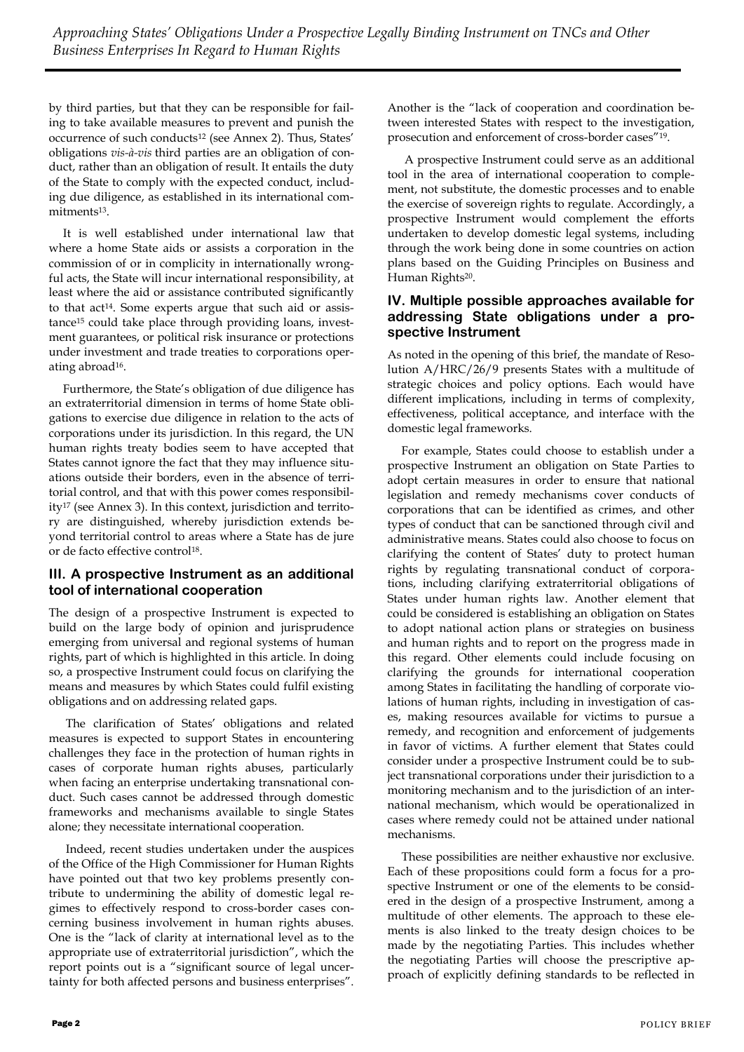by third parties, but that they can be responsible for failing to take available measures to prevent and punish the occurrence of such conducts<sup>12</sup> (see Annex 2). Thus, States' obligations *vis-à-vis* third parties are an obligation of conduct, rather than an obligation of result. It entails the duty of the State to comply with the expected conduct, including due diligence, as established in its international commitments13.

It is well established under international law that where a home State aids or assists a corporation in the commission of or in complicity in internationally wrongful acts, the State will incur international responsibility, at least where the aid or assistance contributed significantly to that act<sup>14</sup>. Some experts argue that such aid or assistance<sup>15</sup> could take place through providing loans, investment guarantees, or political risk insurance or protections under investment and trade treaties to corporations operating abroad16.

Furthermore, the State's obligation of due diligence has an extraterritorial dimension in terms of home State obligations to exercise due diligence in relation to the acts of corporations under its jurisdiction. In this regard, the UN human rights treaty bodies seem to have accepted that States cannot ignore the fact that they may influence situations outside their borders, even in the absence of territorial control, and that with this power comes responsibility<sup>17</sup> (see Annex 3). In this context, jurisdiction and territory are distinguished, whereby jurisdiction extends beyond territorial control to areas where a State has de jure or de facto effective control18.

## **III. A prospective Instrument as an additional tool of international cooperation**

The design of a prospective Instrument is expected to build on the large body of opinion and jurisprudence emerging from universal and regional systems of human rights, part of which is highlighted in this article. In doing so, a prospective Instrument could focus on clarifying the means and measures by which States could fulfil existing obligations and on addressing related gaps.

The clarification of States' obligations and related measures is expected to support States in encountering challenges they face in the protection of human rights in cases of corporate human rights abuses, particularly when facing an enterprise undertaking transnational conduct. Such cases cannot be addressed through domestic frameworks and mechanisms available to single States alone; they necessitate international cooperation.

Indeed, recent studies undertaken under the auspices of the Office of the High Commissioner for Human Rights have pointed out that two key problems presently contribute to undermining the ability of domestic legal regimes to effectively respond to cross-border cases concerning business involvement in human rights abuses. One is the "lack of clarity at international level as to the appropriate use of extraterritorial jurisdiction", which the report points out is a "significant source of legal uncertainty for both affected persons and business enterprises".

Another is the "lack of cooperation and coordination between interested States with respect to the investigation, prosecution and enforcement of cross-border cases"19.

A prospective Instrument could serve as an additional tool in the area of international cooperation to complement, not substitute, the domestic processes and to enable the exercise of sovereign rights to regulate. Accordingly, a prospective Instrument would complement the efforts undertaken to develop domestic legal systems, including through the work being done in some countries on action plans based on the Guiding Principles on Business and Human Rights<sup>20</sup>.

## **IV. Multiple possible approaches available for addressing State obligations under a prospective Instrument**

As noted in the opening of this brief, the mandate of Resolution A/HRC/26/9 presents States with a multitude of strategic choices and policy options. Each would have different implications, including in terms of complexity, effectiveness, political acceptance, and interface with the domestic legal frameworks.

For example, States could choose to establish under a prospective Instrument an obligation on State Parties to adopt certain measures in order to ensure that national legislation and remedy mechanisms cover conducts of corporations that can be identified as crimes, and other types of conduct that can be sanctioned through civil and administrative means. States could also choose to focus on clarifying the content of States' duty to protect human rights by regulating transnational conduct of corporations, including clarifying extraterritorial obligations of States under human rights law. Another element that could be considered is establishing an obligation on States to adopt national action plans or strategies on business and human rights and to report on the progress made in this regard. Other elements could include focusing on clarifying the grounds for international cooperation among States in facilitating the handling of corporate violations of human rights, including in investigation of cases, making resources available for victims to pursue a remedy, and recognition and enforcement of judgements in favor of victims. A further element that States could consider under a prospective Instrument could be to subject transnational corporations under their jurisdiction to a monitoring mechanism and to the jurisdiction of an international mechanism, which would be operationalized in cases where remedy could not be attained under national mechanisms.

These possibilities are neither exhaustive nor exclusive. Each of these propositions could form a focus for a prospective Instrument or one of the elements to be considered in the design of a prospective Instrument, among a multitude of other elements. The approach to these elements is also linked to the treaty design choices to be made by the negotiating Parties. This includes whether the negotiating Parties will choose the prescriptive approach of explicitly defining standards to be reflected in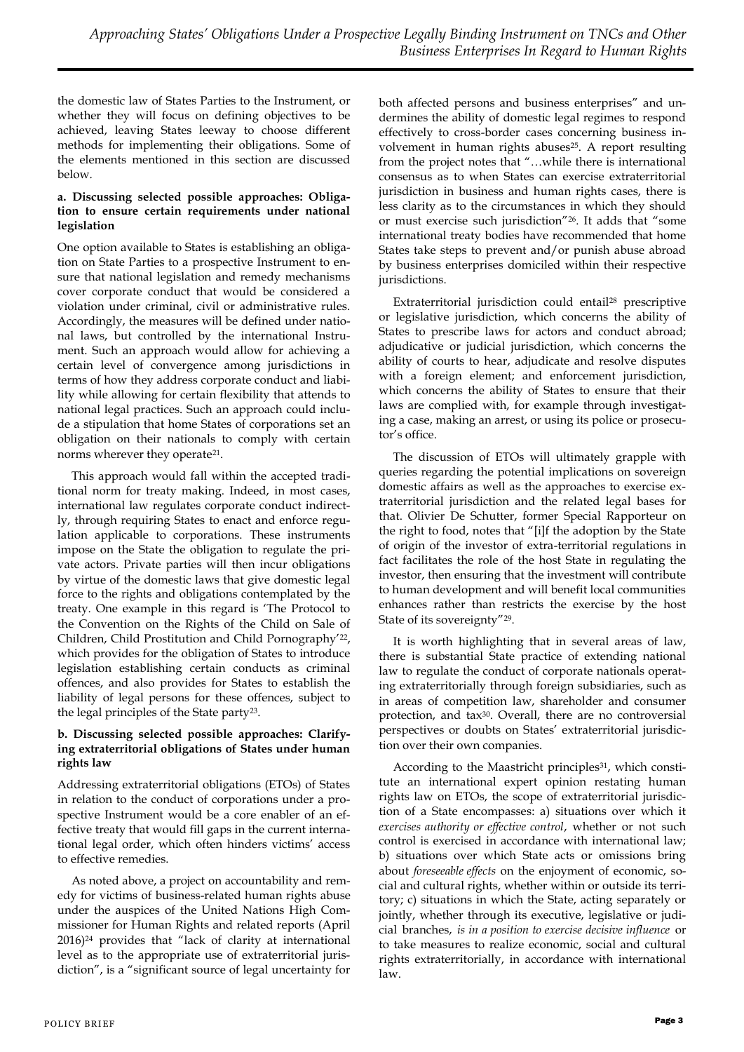the domestic law of States Parties to the Instrument, or whether they will focus on defining objectives to be achieved, leaving States leeway to choose different methods for implementing their obligations. Some of the elements mentioned in this section are discussed below.

#### **a. Discussing selected possible approaches: Obligation to ensure certain requirements under national legislation**

One option available to States is establishing an obligation on State Parties to a prospective Instrument to ensure that national legislation and remedy mechanisms cover corporate conduct that would be considered a violation under criminal, civil or administrative rules. Accordingly, the measures will be defined under national laws, but controlled by the international Instrument. Such an approach would allow for achieving a certain level of convergence among jurisdictions in terms of how they address corporate conduct and liability while allowing for certain flexibility that attends to national legal practices. Such an approach could include a stipulation that home States of corporations set an obligation on their nationals to comply with certain norms wherever they operate<sup>21</sup>.

This approach would fall within the accepted traditional norm for treaty making. Indeed, in most cases, international law regulates corporate conduct indirectly, through requiring States to enact and enforce regulation applicable to corporations. These instruments impose on the State the obligation to regulate the private actors. Private parties will then incur obligations by virtue of the domestic laws that give domestic legal force to the rights and obligations contemplated by the treaty. One example in this regard is 'The Protocol to the Convention on the Rights of the Child on Sale of Children, Child Prostitution and Child Pornography'22, which provides for the obligation of States to introduce legislation establishing certain conducts as criminal offences, and also provides for States to establish the liability of legal persons for these offences, subject to the legal principles of the State party23.

#### **b. Discussing selected possible approaches: Clarifying extraterritorial obligations of States under human rights law**

Addressing extraterritorial obligations (ETOs) of States in relation to the conduct of corporations under a prospective Instrument would be a core enabler of an effective treaty that would fill gaps in the current international legal order, which often hinders victims' access to effective remedies.

As noted above, a project on accountability and remedy for victims of business-related human rights abuse under the auspices of the United Nations High Commissioner for Human Rights and related reports (April 2016)<sup>24</sup> provides that "lack of clarity at international level as to the appropriate use of extraterritorial jurisdiction", is a "significant source of legal uncertainty for

both affected persons and business enterprises" and undermines the ability of domestic legal regimes to respond effectively to cross-border cases concerning business involvement in human rights abuses<sup>25</sup>. A report resulting from the project notes that "…while there is international consensus as to when States can exercise extraterritorial jurisdiction in business and human rights cases, there is less clarity as to the circumstances in which they should or must exercise such jurisdiction"26. It adds that "some international treaty bodies have recommended that home States take steps to prevent and/or punish abuse abroad by business enterprises domiciled within their respective jurisdictions.

Extraterritorial jurisdiction could entail<sup>28</sup> prescriptive or legislative jurisdiction, which concerns the ability of States to prescribe laws for actors and conduct abroad; adjudicative or judicial jurisdiction, which concerns the ability of courts to hear, adjudicate and resolve disputes with a foreign element; and enforcement jurisdiction, which concerns the ability of States to ensure that their laws are complied with, for example through investigating a case, making an arrest, or using its police or prosecutor's office.

The discussion of ETOs will ultimately grapple with queries regarding the potential implications on sovereign domestic affairs as well as the approaches to exercise extraterritorial jurisdiction and the related legal bases for that. Olivier De Schutter, former Special Rapporteur on the right to food, notes that "[i]f the adoption by the State of origin of the investor of extra-territorial regulations in fact facilitates the role of the host State in regulating the investor, then ensuring that the investment will contribute to human development and will benefit local communities enhances rather than restricts the exercise by the host State of its sovereignty"29.

It is worth highlighting that in several areas of law, there is substantial State practice of extending national law to regulate the conduct of corporate nationals operating extraterritorially through foreign subsidiaries, such as in areas of competition law, shareholder and consumer protection, and tax<sup>30</sup>. Overall, there are no controversial perspectives or doubts on States' extraterritorial jurisdiction over their own companies.

According to the Maastricht principles<sup>31</sup>, which constitute an international expert opinion restating human rights law on ETOs, the scope of extraterritorial jurisdiction of a State encompasses: a) situations over which it *exercises authority or effective control*, whether or not such control is exercised in accordance with international law; b) situations over which State acts or omissions bring about *foreseeable effects* on the enjoyment of economic, social and cultural rights, whether within or outside its territory; c) situations in which the State, acting separately or jointly, whether through its executive, legislative or judicial branches, *is in a position to exercise decisive influence* or to take measures to realize economic, social and cultural rights extraterritorially, in accordance with international law.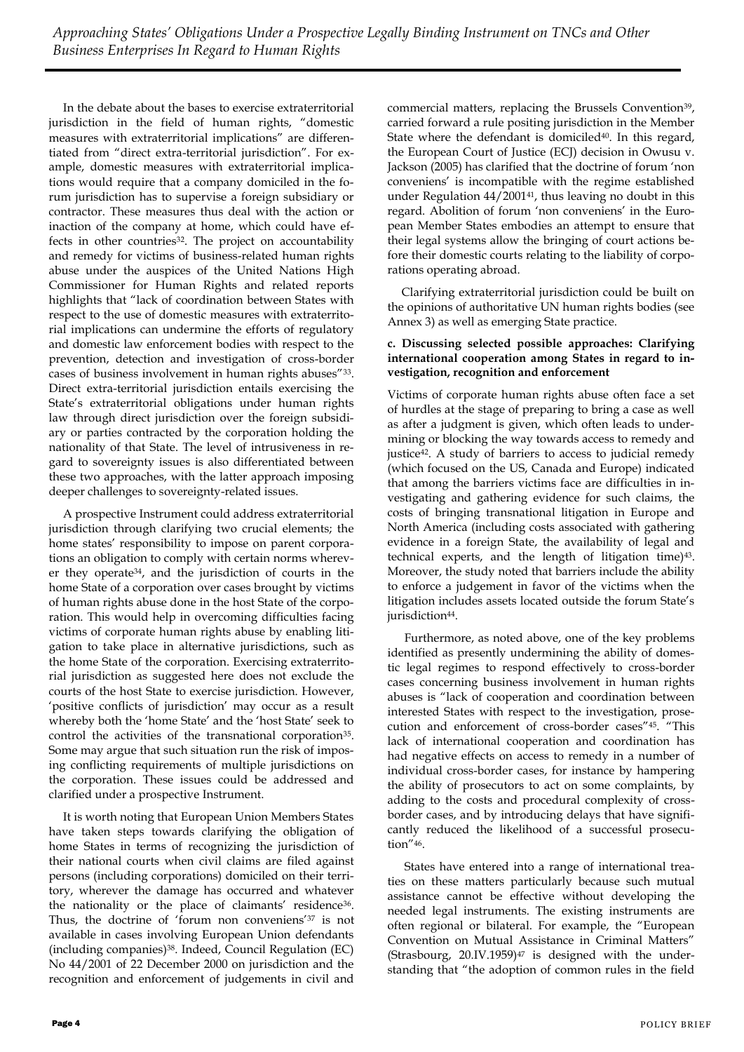In the debate about the bases to exercise extraterritorial jurisdiction in the field of human rights, "domestic measures with extraterritorial implications" are differentiated from "direct extra-territorial jurisdiction". For example, domestic measures with extraterritorial implications would require that a company domiciled in the forum jurisdiction has to supervise a foreign subsidiary or contractor. These measures thus deal with the action or inaction of the company at home, which could have effects in other countries<sup>32</sup>. The project on accountability and remedy for victims of business-related human rights abuse under the auspices of the United Nations High Commissioner for Human Rights and related reports highlights that "lack of coordination between States with respect to the use of domestic measures with extraterritorial implications can undermine the efforts of regulatory and domestic law enforcement bodies with respect to the prevention, detection and investigation of cross-border cases of business involvement in human rights abuses"33. Direct extra-territorial jurisdiction entails exercising the State's extraterritorial obligations under human rights law through direct jurisdiction over the foreign subsidiary or parties contracted by the corporation holding the nationality of that State. The level of intrusiveness in regard to sovereignty issues is also differentiated between these two approaches, with the latter approach imposing deeper challenges to sovereignty-related issues.

A prospective Instrument could address extraterritorial jurisdiction through clarifying two crucial elements; the home states' responsibility to impose on parent corporations an obligation to comply with certain norms wherever they operate34, and the jurisdiction of courts in the home State of a corporation over cases brought by victims of human rights abuse done in the host State of the corporation. This would help in overcoming difficulties facing victims of corporate human rights abuse by enabling litigation to take place in alternative jurisdictions, such as the home State of the corporation. Exercising extraterritorial jurisdiction as suggested here does not exclude the courts of the host State to exercise jurisdiction. However, 'positive conflicts of jurisdiction' may occur as a result whereby both the 'home State' and the 'host State' seek to control the activities of the transnational corporation35. Some may argue that such situation run the risk of imposing conflicting requirements of multiple jurisdictions on the corporation. These issues could be addressed and clarified under a prospective Instrument.

It is worth noting that European Union Members States have taken steps towards clarifying the obligation of home States in terms of recognizing the jurisdiction of their national courts when civil claims are filed against persons (including corporations) domiciled on their territory, wherever the damage has occurred and whatever the nationality or the place of claimants' residence<sup>36</sup>. Thus, the doctrine of 'forum non conveniens'<sup>37</sup> is not available in cases involving European Union defendants (including companies)38. Indeed, Council Regulation (EC) No 44/2001 of 22 December 2000 on jurisdiction and the recognition and enforcement of judgements in civil and

commercial matters, replacing the Brussels Convention<sup>39</sup>, carried forward a rule positing jurisdiction in the Member State where the defendant is domiciled<sup>40</sup>. In this regard, the European Court of Justice (ECJ) decision in Owusu v. Jackson (2005) has clarified that the doctrine of forum 'non conveniens' is incompatible with the regime established under Regulation 44/2001<sup>41</sup>, thus leaving no doubt in this regard. Abolition of forum 'non conveniens' in the European Member States embodies an attempt to ensure that their legal systems allow the bringing of court actions before their domestic courts relating to the liability of corporations operating abroad.

Clarifying extraterritorial jurisdiction could be built on the opinions of authoritative UN human rights bodies (see Annex 3) as well as emerging State practice.

#### **c. Discussing selected possible approaches: Clarifying international cooperation among States in regard to investigation, recognition and enforcement**

Victims of corporate human rights abuse often face a set of hurdles at the stage of preparing to bring a case as well as after a judgment is given, which often leads to undermining or blocking the way towards access to remedy and justice42. A study of barriers to access to judicial remedy (which focused on the US, Canada and Europe) indicated that among the barriers victims face are difficulties in investigating and gathering evidence for such claims, the costs of bringing transnational litigation in Europe and North America (including costs associated with gathering evidence in a foreign State, the availability of legal and technical experts, and the length of litigation time)43. Moreover, the study noted that barriers include the ability to enforce a judgement in favor of the victims when the litigation includes assets located outside the forum State's jurisdiction<sup>44</sup>.

Furthermore, as noted above, one of the key problems identified as presently undermining the ability of domestic legal regimes to respond effectively to cross-border cases concerning business involvement in human rights abuses is "lack of cooperation and coordination between interested States with respect to the investigation, prosecution and enforcement of cross-border cases"45. "This lack of international cooperation and coordination has had negative effects on access to remedy in a number of individual cross-border cases, for instance by hampering the ability of prosecutors to act on some complaints, by adding to the costs and procedural complexity of crossborder cases, and by introducing delays that have significantly reduced the likelihood of a successful prosecution"46.

States have entered into a range of international treaties on these matters particularly because such mutual assistance cannot be effective without developing the needed legal instruments. The existing instruments are often regional or bilateral. For example, the "European Convention on Mutual Assistance in Criminal Matters" (Strasbourg,  $20.IV.1959$ )<sup>47</sup> is designed with the understanding that "the adoption of common rules in the field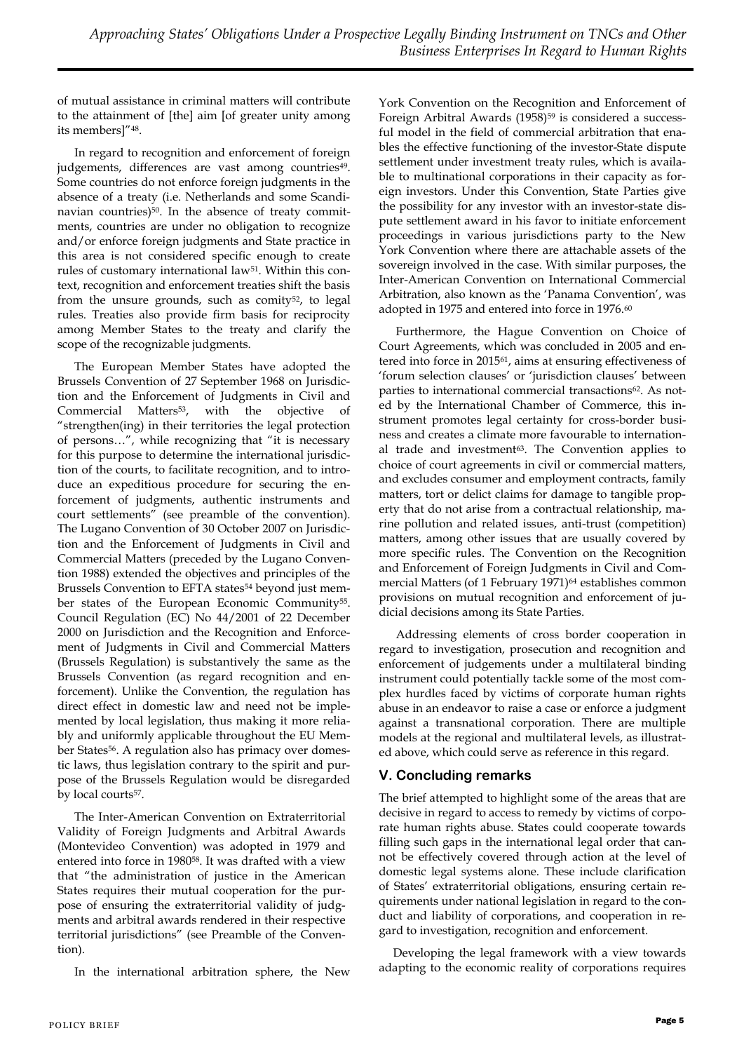of mutual assistance in criminal matters will contribute to the attainment of [the] aim [of greater unity among its members]"48.

In regard to recognition and enforcement of foreign judgements, differences are vast among countries<sup>49</sup>. Some countries do not enforce foreign judgments in the absence of a treaty (i.e. Netherlands and some Scandinavian countries)<sup>50</sup>. In the absence of treaty commitments, countries are under no obligation to recognize and/or enforce foreign judgments and State practice in this area is not considered specific enough to create rules of customary international law<sup>51</sup>. Within this context, recognition and enforcement treaties shift the basis from the unsure grounds, such as comity<sup>52</sup>, to legal rules. Treaties also provide firm basis for reciprocity among Member States to the treaty and clarify the scope of the recognizable judgments.

The European Member States have adopted the Brussels Convention of 27 September 1968 on Jurisdiction and the Enforcement of Judgments in Civil and Commercial Matters<sup>53</sup>, with the objective of "strengthen(ing) in their territories the legal protection of persons…", while recognizing that "it is necessary for this purpose to determine the international jurisdiction of the courts, to facilitate recognition, and to introduce an expeditious procedure for securing the enforcement of judgments, authentic instruments and court settlements" (see preamble of the convention). The Lugano Convention of 30 October 2007 on Jurisdiction and the Enforcement of Judgments in Civil and Commercial Matters (preceded by the Lugano Convention 1988) extended the objectives and principles of the Brussels Convention to EFTA states<sup>54</sup> beyond just member states of the European Economic Community<sup>55</sup>. Council Regulation (EC) No 44/2001 of 22 December 2000 on Jurisdiction and the Recognition and Enforcement of Judgments in Civil and Commercial Matters (Brussels Regulation) is substantively the same as the Brussels Convention (as regard recognition and enforcement). Unlike the Convention, the regulation has direct effect in domestic law and need not be implemented by local legislation, thus making it more reliably and uniformly applicable throughout the EU Member States<sup>56</sup>. A regulation also has primacy over domestic laws, thus legislation contrary to the spirit and purpose of the Brussels Regulation would be disregarded by local courts<sup>57</sup>.

The Inter-American Convention on Extraterritorial Validity of Foreign Judgments and Arbitral Awards (Montevideo Convention) was adopted in 1979 and entered into force in 198058. It was drafted with a view that "the administration of justice in the American States requires their mutual cooperation for the purpose of ensuring the extraterritorial validity of judgments and arbitral awards rendered in their respective territorial jurisdictions" (see Preamble of the Convention).

In the international arbitration sphere, the New

York Convention on the Recognition and Enforcement of Foreign Arbitral Awards (1958)<sup>59</sup> is considered a successful model in the field of commercial arbitration that enables the effective functioning of the investor-State dispute settlement under investment treaty rules, which is available to multinational corporations in their capacity as foreign investors. Under this Convention, State Parties give the possibility for any investor with an investor-state dispute settlement award in his favor to initiate enforcement proceedings in various jurisdictions party to the New York Convention where there are attachable assets of the sovereign involved in the case. With similar purposes, the Inter-American Convention on International Commercial Arbitration, also known as the 'Panama Convention', was adopted in 1975 and entered into force in 1976.<sup>60</sup>

Furthermore, the Hague Convention on Choice of Court Agreements, which was concluded in 2005 and entered into force in 201561, aims at ensuring effectiveness of 'forum selection clauses' or 'jurisdiction clauses' between parties to international commercial transactions<sup>62</sup>. As noted by the International Chamber of Commerce, this instrument promotes legal certainty for cross-border business and creates a climate more favourable to international trade and investment<sup>63</sup>. The Convention applies to choice of court agreements in civil or commercial matters, and excludes consumer and employment contracts, family matters, tort or delict claims for damage to tangible property that do not arise from a contractual relationship, marine pollution and related issues, anti-trust (competition) matters, among other issues that are usually covered by more specific rules. The Convention on the Recognition and Enforcement of Foreign Judgments in Civil and Commercial Matters (of 1 February 1971)<sup>64</sup> establishes common provisions on mutual recognition and enforcement of judicial decisions among its State Parties.

Addressing elements of cross border cooperation in regard to investigation, prosecution and recognition and enforcement of judgements under a multilateral binding instrument could potentially tackle some of the most complex hurdles faced by victims of corporate human rights abuse in an endeavor to raise a case or enforce a judgment against a transnational corporation. There are multiple models at the regional and multilateral levels, as illustrated above, which could serve as reference in this regard.

## **V. Concluding remarks**

The brief attempted to highlight some of the areas that are decisive in regard to access to remedy by victims of corporate human rights abuse. States could cooperate towards filling such gaps in the international legal order that cannot be effectively covered through action at the level of domestic legal systems alone. These include clarification of States' extraterritorial obligations, ensuring certain requirements under national legislation in regard to the conduct and liability of corporations, and cooperation in regard to investigation, recognition and enforcement.

Developing the legal framework with a view towards adapting to the economic reality of corporations requires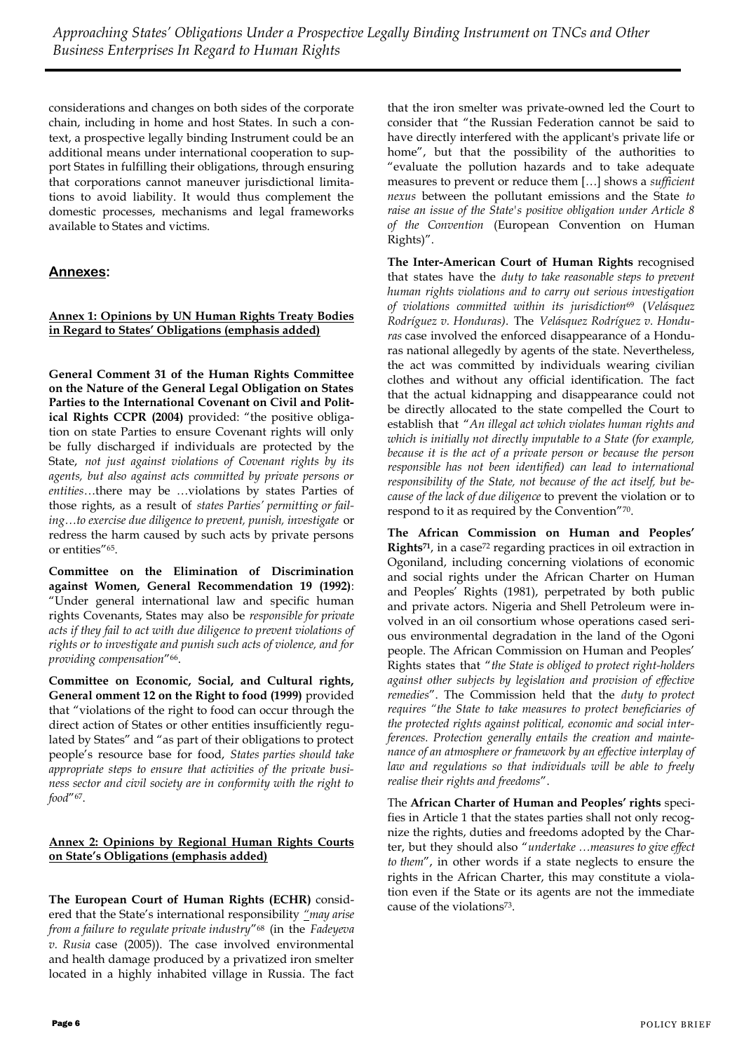considerations and changes on both sides of the corporate chain, including in home and host States. In such a context, a prospective legally binding Instrument could be an additional means under international cooperation to support States in fulfilling their obligations, through ensuring that corporations cannot maneuver jurisdictional limitations to avoid liability. It would thus complement the domestic processes, mechanisms and legal frameworks available to States and victims.

## **Annexes:**

## **Annex 1: Opinions by UN Human Rights Treaty Bodies in Regard to States' Obligations (emphasis added)**

**General Comment 31 of the Human Rights Committee on the Nature of the General Legal Obligation on States Parties to the International Covenant on Civil and Political Rights CCPR (2004)** provided: "the positive obligation on state Parties to ensure Covenant rights will only be fully discharged if individuals are protected by the State, *not just against violations of Covenant rights by its agents, but also against acts committed by private persons or entities*…there may be …violations by states Parties of those rights, as a result of *states Parties' permitting or failing…to exercise due diligence to prevent, punish, investigate* or redress the harm caused by such acts by private persons or entities"65.

**Committee on the Elimination of Discrimination against Women, General Recommendation 19 (1992)**: "Under general international law and specific human rights Covenants, States may also be *responsible for private acts if they fail to act with due diligence to prevent violations of rights or to investigate and punish such acts of violence, and for providing compensation*"66.

**Committee on Economic, Social, and Cultural rights, General omment 12 on the Right to food (1999)** provided that "violations of the right to food can occur through the direct action of States or other entities insufficiently regulated by States" and "as part of their obligations to protect people's resource base for food, *States parties should take appropriate steps to ensure that activities of the private business sector and civil society are in conformity with the right to food*"67.

## **Annex 2: Opinions by Regional Human Rights Courts on State's Obligations (emphasis added)**

**The European Court of Human Rights (ECHR)** considered that the State's international responsibility *"may arise from a failure to regulate private industry*"<sup>68</sup> (in the *Fadeyeva v. Rusia* case (2005)). The case involved environmental and health damage produced by a privatized iron smelter located in a highly inhabited village in Russia. The fact

that the iron smelter was private-owned led the Court to consider that "the Russian Federation cannot be said to have directly interfered with the applicant's private life or home", but that the possibility of the authorities to "evaluate the pollution hazards and to take adequate measures to prevent or reduce them […] shows a *sufficient nexus* between the pollutant emissions and the State *to raise an issue of the State's positive obligation under Article 8 of the Convention* (European Convention on Human Rights)".

**The Inter-American Court of Human Rights** recognised that states have the *duty to take reasonable steps to prevent human rights violations and to carry out serious investigation of violations committed within its jurisdiction*<sup>69</sup> (*Velásquez Rodríguez v. Honduras)*. The *Velásquez Rodríguez v. Honduras* case involved the enforced disappearance of a Honduras national allegedly by agents of the state. Nevertheless, the act was committed by individuals wearing civilian clothes and without any official identification. The fact that the actual kidnapping and disappearance could not be directly allocated to the state compelled the Court to establish that "*An illegal act which violates human rights and which is initially not directly imputable to a State (for example, because it is the act of a private person or because the person responsible has not been identified) can lead to international responsibility of the State, not because of the act itself, but because of the lack of due diligence* to prevent the violation or to respond to it as required by the Convention"70.

**The African Commission on Human and Peoples' Rights71**, in a case<sup>72</sup> regarding practices in oil extraction in Ogoniland, including concerning violations of economic and social rights under the African Charter on Human and Peoples' Rights (1981), perpetrated by both public and private actors. Nigeria and Shell Petroleum were involved in an oil consortium whose operations cased serious environmental degradation in the land of the Ogoni people. The African Commission on Human and Peoples' Rights states that "*the State is obliged to protect right-holders against other subjects by legislation and provision of effective remedies*". The Commission held that the *duty to protect requires "the State to take measures to protect beneficiaries of the protected rights against political, economic and social interferences. Protection generally entails the creation and maintenance of an atmosphere or framework by an effective interplay of law and regulations so that individuals will be able to freely realise their rights and freedoms*".

The **African Charter of Human and Peoples' rights** specifies in Article 1 that the states parties shall not only recognize the rights, duties and freedoms adopted by the Charter, but they should also "*undertake …measures to give effect to them*", in other words if a state neglects to ensure the rights in the African Charter, this may constitute a violation even if the State or its agents are not the immediate cause of the violations73.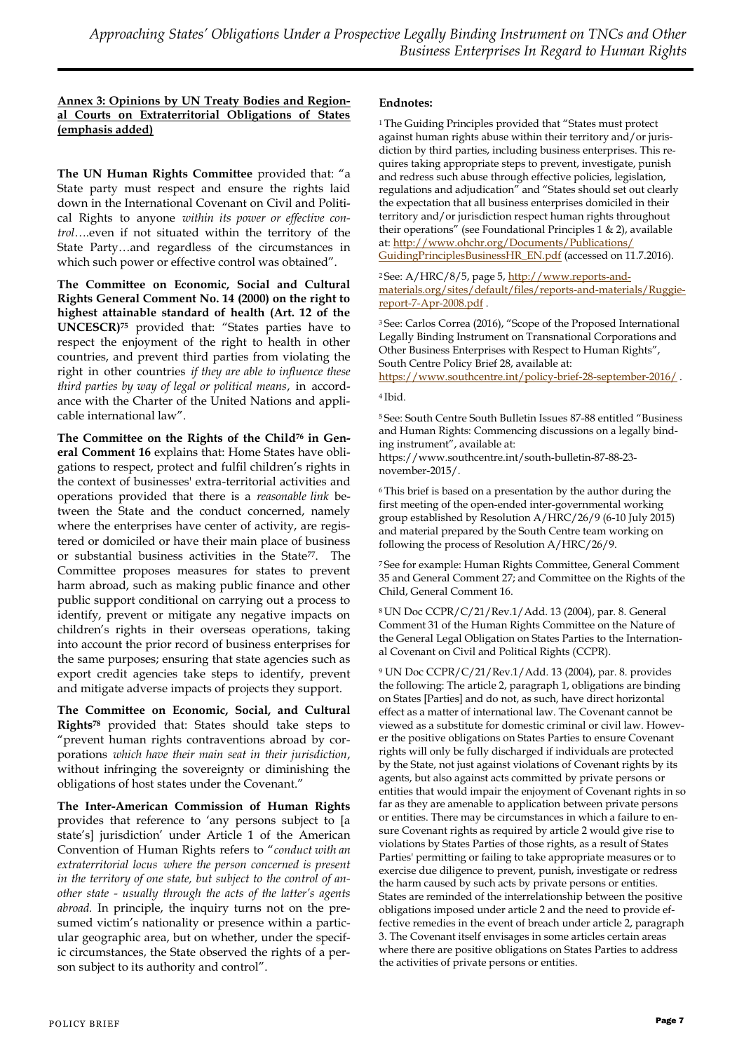#### **Annex 3: Opinions by UN Treaty Bodies and Regional Courts on Extraterritorial Obligations of States (emphasis added)**

**The UN Human Rights Committee** provided that: "a State party must respect and ensure the rights laid down in the International Covenant on Civil and Political Rights to anyone *within its power or effective control*….even if not situated within the territory of the State Party…and regardless of the circumstances in which such power or effective control was obtained".

**The Committee on Economic, Social and Cultural Rights General Comment No. 14 (2000) on the right to highest attainable standard of health (Art. 12 of the UNCESCR)<sup>75</sup>** provided that: "States parties have to respect the enjoyment of the right to health in other countries, and prevent third parties from violating the right in other countries *if they are able to influence these third parties by way of legal or political means*, in accordance with the Charter of the United Nations and applicable international law".

**The Committee on the Rights of the Child<sup>76</sup> in General Comment 16** explains that: Home States have obligations to respect, protect and fulfil children's rights in the context of businesses' extra-territorial activities and operations provided that there is a *reasonable link* between the State and the conduct concerned, namely where the enterprises have center of activity, are registered or domiciled or have their main place of business or substantial business activities in the State77. The Committee proposes measures for states to prevent harm abroad, such as making public finance and other public support conditional on carrying out a process to identify, prevent or mitigate any negative impacts on children's rights in their overseas operations, taking into account the prior record of business enterprises for the same purposes; ensuring that state agencies such as export credit agencies take steps to identify, prevent and mitigate adverse impacts of projects they support.

**The Committee on Economic, Social, and Cultural Rights<sup>78</sup>** provided that: States should take steps to "prevent human rights contraventions abroad by corporations *which have their main seat in their jurisdiction*, without infringing the sovereignty or diminishing the obligations of host states under the Covenant."

**The Inter-American Commission of Human Rights** provides that reference to 'any persons subject to [a state's] jurisdiction' under Article 1 of the American Convention of Human Rights refers to "*conduct with an extraterritorial locus where the person concerned is present in the territory of one state, but subject to the control of another state - usually through the acts of the latter's agents abroad.* In principle, the inquiry turns not on the presumed victim's nationality or presence within a particular geographic area, but on whether, under the specific circumstances, the State observed the rights of a person subject to its authority and control".

### **Endnotes:**

<sup>1</sup>The Guiding Principles provided that "States must protect against human rights abuse within their territory and/or jurisdiction by third parties, including business enterprises. This requires taking appropriate steps to prevent, investigate, punish and redress such abuse through effective policies, legislation, regulations and adjudication" and "States should set out clearly the expectation that all business enterprises domiciled in their territory and/or jurisdiction respect human rights throughout their operations" (see Foundational Principles 1 & 2), available at: [http://www.ohchr.org/Documents/Publications/](http://www.ohchr.org/Documents/Publications/GuidingPrinciplesBusinessHR_EN.pdf) [GuidingPrinciplesBusinessHR\\_EN.pdf](http://www.ohchr.org/Documents/Publications/GuidingPrinciplesBusinessHR_EN.pdf) (accessed on 11.7.2016).

2 See: A/HRC/8/5, page 5, [http://www.reports-and](http://www.reports-and-materials.org/sites/default/files/reports-and-materials/Ruggie-report-7-Apr-2008.pdf)[materials.org/sites/default/files/reports-and-materials/Ruggie](http://www.reports-and-materials.org/sites/default/files/reports-and-materials/Ruggie-report-7-Apr-2008.pdf)[report-7-Apr-2008.pdf](http://www.reports-and-materials.org/sites/default/files/reports-and-materials/Ruggie-report-7-Apr-2008.pdf) .

<sup>3</sup>See: Carlos Correa (2016), "Scope of the Proposed International Legally Binding Instrument on Transnational Corporations and Other Business Enterprises with Respect to Human Rights", South Centre Policy Brief 28, available at: <https://www.southcentre.int/policy-brief-28-september-2016/> .

#### <sup>4</sup>Ibid.

<sup>5</sup>See: South Centre South Bulletin Issues 87-88 entitled "Business and Human Rights: Commencing discussions on a legally binding instrument", available at: https://www.southcentre.int/south-bulletin-87-88-23 november-2015/.

<sup>6</sup>This brief is based on a presentation by the author during the first meeting of the open-ended inter-governmental working group established by Resolution A/HRC/26/9 (6-10 July 2015) and material prepared by the South Centre team working on following the process of Resolution A/HRC/26/9.

<sup>7</sup>See for example: Human Rights Committee, General Comment 35 and General Comment 27; and Committee on the Rights of the Child, General Comment 16.

<sup>8</sup>UN Doc CCPR/C/21/Rev.1/Add. 13 (2004), par. 8. General Comment 31 of the Human Rights Committee on the Nature of the General Legal Obligation on States Parties to the International Covenant on Civil and Political Rights (CCPR).

<sup>9</sup> UN Doc CCPR/C/21/Rev.1/Add. 13 (2004), par. 8. provides the following: The article 2, paragraph 1, obligations are binding on States [Parties] and do not, as such, have direct horizontal effect as a matter of international law. The Covenant cannot be viewed as a substitute for domestic criminal or civil law. However the positive obligations on States Parties to ensure Covenant rights will only be fully discharged if individuals are protected by the State, not just against violations of Covenant rights by its agents, but also against acts committed by private persons or entities that would impair the enjoyment of Covenant rights in so far as they are amenable to application between private persons or entities. There may be circumstances in which a failure to ensure Covenant rights as required by article 2 would give rise to violations by States Parties of those rights, as a result of States Parties' permitting or failing to take appropriate measures or to exercise due diligence to prevent, punish, investigate or redress the harm caused by such acts by private persons or entities. States are reminded of the interrelationship between the positive obligations imposed under article 2 and the need to provide effective remedies in the event of breach under article 2, paragraph 3. The Covenant itself envisages in some articles certain areas where there are positive obligations on States Parties to address the activities of private persons or entities.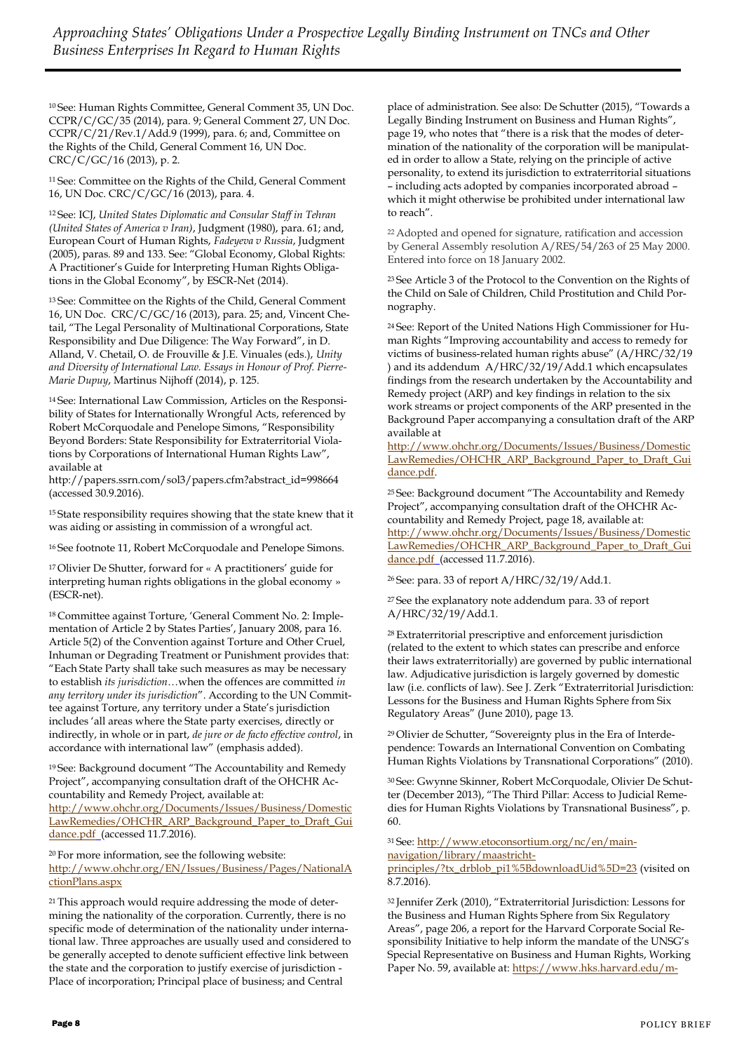<sup>10</sup>See: Human Rights Committee, General Comment 35, UN Doc. CCPR/C/GC/35 (2014), para. 9; General Comment 27, UN Doc. CCPR/C/21/Rev.1/Add.9 (1999), para. 6; and, Committee on the Rights of the Child, General Comment 16, UN Doc. CRC/C/GC/16 (2013), p. 2.

<sup>11</sup>See: Committee on the Rights of the Child, General Comment 16, UN Doc. CRC/C/GC/16 (2013), para. 4.

<sup>12</sup>See: ICJ, *United States Diplomatic and Consular Staff in Tehran (United States of America v Iran)*, Judgment (1980), para. 61; and, European Court of Human Rights, *Fadeyeva v Russia*, Judgment (2005), paras. 89 and 133. See: "Global Economy, Global Rights: A Practitioner's Guide for Interpreting Human Rights Obligations in the Global Economy", by ESCR-Net (2014).

<sup>13</sup>See: Committee on the Rights of the Child, General Comment 16, UN Doc. CRC/C/GC/16 (2013), para. 25; and, Vincent Chetail, "The Legal Personality of Multinational Corporations, State Responsibility and Due Diligence: The Way Forward", in D. Alland, V. Chetail, O. de Frouville & J.E. Vinuales (eds.), *Unity and Diversity of International Law. Essays in Honour of Prof. Pierre-Marie Dupuy*, Martinus Nijhoff (2014), p. 125.

14 See: International Law Commission, Articles on the Responsibility of States for Internationally Wrongful Acts, referenced by Robert McCorquodale and Penelope Simons, "Responsibility Beyond Borders: State Responsibility for Extraterritorial Violations by Corporations of International Human Rights Law", available at

http://papers.ssrn.com/sol3/papers.cfm?abstract\_id=998664 (accessed 30.9.2016).

<sup>15</sup>State responsibility requires showing that the state knew that it was aiding or assisting in commission of a wrongful act.

<sup>16</sup>See footnote 11, Robert McCorquodale and Penelope Simons.

<sup>17</sup>Olivier De Shutter, forward for « A practitioners' guide for interpreting human rights obligations in the global economy » (ESCR-net).

18 Committee against Torture, 'General Comment No. 2: Implementation of Article 2 by States Parties', January 2008, para 16. Article 5(2) of the Convention against Torture and Other Cruel, Inhuman or Degrading Treatment or Punishment provides that: "Each State Party shall take such measures as may be necessary to establish *its jurisdiction*…when the offences are committed *in any territory under its jurisdiction*". According to the UN Committee against Torture, any territory under a State's jurisdiction includes 'all areas where the State party exercises, directly or indirectly, in whole or in part, *de jure or de facto effective control*, in accordance with international law" (emphasis added).

<sup>19</sup>See: Background document "The Accountability and Remedy Project", accompanying consultation draft of the OHCHR Accountability and Remedy Project, available at: [http://www.ohchr.org/Documents/Issues/Business/Domestic](http://www.ohchr.org/Documents/Issues/Business/DomesticLawRemedies/OHCHR_ARP_Background_Paper_to_Draft_Guidance.pdf) [LawRemedies/OHCHR\\_ARP\\_Background\\_Paper\\_to\\_Draft\\_Gui](http://www.ohchr.org/Documents/Issues/Business/DomesticLawRemedies/OHCHR_ARP_Background_Paper_to_Draft_Guidance.pdf) [dance.pdf](http://www.ohchr.org/Documents/Issues/Business/DomesticLawRemedies/OHCHR_ARP_Background_Paper_to_Draft_Guidance.pdf) (accessed 11.7.2016).

<sup>20</sup>For more information, see the following website: [http://www.ohchr.org/EN/Issues/Business/Pages/NationalA](http://www.ohchr.org/EN/Issues/Business/Pages/NationalActionPlans.aspx) [ctionPlans.aspx](http://www.ohchr.org/EN/Issues/Business/Pages/NationalActionPlans.aspx)

<sup>21</sup> This approach would require addressing the mode of determining the nationality of the corporation. Currently, there is no specific mode of determination of the nationality under international law. Three approaches are usually used and considered to be generally accepted to denote sufficient effective link between the state and the corporation to justify exercise of jurisdiction - Place of incorporation; Principal place of business; and Central

place of administration. See also: De Schutter (2015), "Towards a Legally Binding Instrument on Business and Human Rights", page 19, who notes that "there is a risk that the modes of determination of the nationality of the corporation will be manipulated in order to allow a State, relying on the principle of active personality, to extend its jurisdiction to extraterritorial situations – including acts adopted by companies incorporated abroad – which it might otherwise be prohibited under international law to reach".

<sup>22</sup>Adopted and opened for signature, ratification and accession by General Assembly resolution A/RES/54/263 of 25 May 2000. Entered into force on 18 January 2002.

<sup>23</sup>See Article 3 of the Protocol to the Convention on the Rights of the Child on Sale of Children, Child Prostitution and Child Pornography.

24 See: Report of the United Nations High Commissioner for Human Rights "Improving accountability and access to remedy for victims of business-related human rights abuse" (A/HRC/32/19 ) and its addendum A/HRC/32/19/Add.1 which encapsulates findings from the research undertaken by the Accountability and Remedy project (ARP) and key findings in relation to the six work streams or project components of the ARP presented in the Background Paper accompanying a consultation draft of the ARP available at

[http://www.ohchr.org/Documents/Issues/Business/Domestic](http://www.ohchr.org/Documents/Issues/Business/DomesticLawRemedies/OHCHR_ARP_Background_Paper_to_Draft_Guidance.pdf) [LawRemedies/OHCHR\\_ARP\\_Background\\_Paper\\_to\\_Draft\\_Gui](http://www.ohchr.org/Documents/Issues/Business/DomesticLawRemedies/OHCHR_ARP_Background_Paper_to_Draft_Guidance.pdf) [dance.pdf.](http://www.ohchr.org/Documents/Issues/Business/DomesticLawRemedies/OHCHR_ARP_Background_Paper_to_Draft_Guidance.pdf)

<sup>25</sup>See: Background document "The Accountability and Remedy Project", accompanying consultation draft of the OHCHR Accountability and Remedy Project, page 18, available at: [http://www.ohchr.org/Documents/Issues/Business/Domestic](http://www.ohchr.org/Documents/Issues/Business/DomesticLawRemedies/OHCHR_ARP_Background_Paper_to_Draft_Guidance.pdf) [LawRemedies/OHCHR\\_ARP\\_Background\\_Paper\\_to\\_Draft\\_Gui](http://www.ohchr.org/Documents/Issues/Business/DomesticLawRemedies/OHCHR_ARP_Background_Paper_to_Draft_Guidance.pdf) [dance.pdf](http://www.ohchr.org/Documents/Issues/Business/DomesticLawRemedies/OHCHR_ARP_Background_Paper_to_Draft_Guidance.pdf) (accessed 11.7.2016).

<sup>26</sup>See: para. 33 of report A/HRC/32/19/Add.1.

<sup>27</sup>See the explanatory note addendum para. 33 of report A/HRC/32/19/Add.1.

<sup>28</sup>Extraterritorial prescriptive and enforcement jurisdiction (related to the extent to which states can prescribe and enforce their laws extraterritorially) are governed by public international law. Adjudicative jurisdiction is largely governed by domestic law (i.e. conflicts of law). See J. Zerk "Extraterritorial Jurisdiction: Lessons for the Business and Human Rights Sphere from Six Regulatory Areas" (June 2010), page 13.

29 Olivier de Schutter, "Sovereignty plus in the Era of Interdependence: Towards an International Convention on Combating Human Rights Violations by Transnational Corporations" (2010).

30 See: Gwynne Skinner, Robert McCorquodale, Olivier De Schutter (December 2013), "The Third Pillar: Access to Judicial Remedies for Human Rights Violations by Transnational Business", p. 60.

31 See: [http://www.etoconsortium.org/nc/en/main-](http://www.etoconsortium.org/nc/en/main-navigation/library/maastricht-principles/?tx_drblob_pi1%5BdownloadUid%5D=23)

[navigation/library/maastricht-](http://www.etoconsortium.org/nc/en/main-navigation/library/maastricht-principles/?tx_drblob_pi1%5BdownloadUid%5D=23)

[principles/?tx\\_drblob\\_pi1%5BdownloadUid%5D=23](http://www.etoconsortium.org/nc/en/main-navigation/library/maastricht-principles/?tx_drblob_pi1%5BdownloadUid%5D=23) (visited on 8.7.2016).

<sup>32</sup>Jennifer Zerk (2010), "Extraterritorial Jurisdiction: Lessons for the Business and Human Rights Sphere from Six Regulatory Areas", page 206, a report for the Harvard Corporate Social Responsibility Initiative to help inform the mandate of the UNSG's Special Representative on Business and Human Rights, Working Paper No. 59, available at: [https://www.hks.harvard.edu/m-](https://www.hks.harvard.edu/m-rcbg/CSRI/publications/workingpaper_59_zerk.pdf)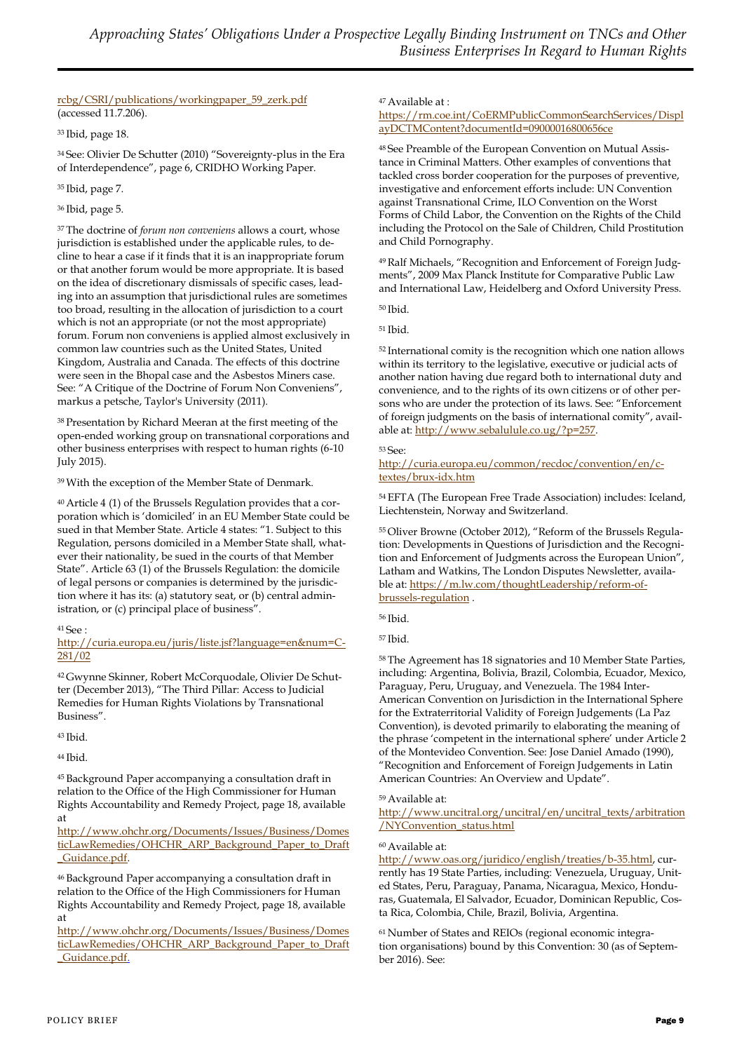#### [rcbg/CSRI/publications/workingpaper\\_59\\_zerk.pdf](https://www.hks.harvard.edu/m-rcbg/CSRI/publications/workingpaper_59_zerk.pdf) (accessed 11.7.206).

<sup>33</sup>Ibid, page 18.

<sup>34</sup>See: Olivier De Schutter (2010) "Sovereignty-plus in the Era of Interdependence", page 6, CRIDHO Working Paper.

<sup>35</sup>Ibid, page 7.

#### <sup>36</sup>Ibid, page 5.

<sup>37</sup>The doctrine of *forum non conveniens* allows a court, whose jurisdiction is established under the applicable rules, to decline to hear a case if it finds that it is an inappropriate forum or that another forum would be more appropriate. It is based on the idea of discretionary dismissals of specific cases, leading into an assumption that jurisdictional rules are sometimes too broad, resulting in the allocation of jurisdiction to a court which is not an appropriate (or not the most appropriate) forum. Forum non conveniens is applied almost exclusively in common law countries such as the United States, United Kingdom, Australia and Canada. The effects of this doctrine were seen in the Bhopal case and the Asbestos Miners case. See: "A Critique of the Doctrine of Forum Non Conveniens", markus a petsche, Taylor's University (2011).

<sup>38</sup>Presentation by Richard Meeran at the first meeting of the open-ended working group on transnational corporations and other business enterprises with respect to human rights (6-10 July 2015).

<sup>39</sup>With the exception of the Member State of Denmark.

40 Article 4 (1) of the Brussels Regulation provides that a corporation which is 'domiciled' in an EU Member State could be sued in that Member State. Article 4 states: "1. Subject to this Regulation, persons domiciled in a Member State shall, whatever their nationality, be sued in the courts of that Member State". Article 63 (1) of the Brussels Regulation: the domicile of legal persons or companies is determined by the jurisdiction where it has its: (a) statutory seat, or (b) central administration, or (c) principal place of business".

#### <sup>41</sup>See :

[http://curia.europa.eu/juris/liste.jsf?language=en&num=C-](http://curia.europa.eu/juris/liste.jsf?language=en&num=C-281/02)[281/02](http://curia.europa.eu/juris/liste.jsf?language=en&num=C-281/02)

42 Gwynne Skinner, Robert McCorquodale, Olivier De Schutter (December 2013), "The Third Pillar: Access to Judicial Remedies for Human Rights Violations by Transnational Business".

<sup>43</sup>Ibid.

<sup>44</sup>Ibid.

<sup>45</sup>Background Paper accompanying a consultation draft in relation to the Office of the High Commissioner for Human Rights Accountability and Remedy Project, page 18, available at

[http://www.ohchr.org/Documents/Issues/Business/Domes](http://www.ohchr.org/Documents/Issues/Business/DomesticLawRemedies/OHCHR_ARP_Background_Paper_to_Draft_Guidance.pdf) [ticLawRemedies/OHCHR\\_ARP\\_Background\\_Paper\\_to\\_Draft](http://www.ohchr.org/Documents/Issues/Business/DomesticLawRemedies/OHCHR_ARP_Background_Paper_to_Draft_Guidance.pdf) [\\_Guidance.pdf.](http://www.ohchr.org/Documents/Issues/Business/DomesticLawRemedies/OHCHR_ARP_Background_Paper_to_Draft_Guidance.pdf)

<sup>46</sup>Background Paper accompanying a consultation draft in relation to the Office of the High Commissioners for Human Rights Accountability and Remedy Project, page 18, available at

[http://www.ohchr.org/Documents/Issues/Business/Domes](http://www.ohchr.org/Documents/Issues/Business/DomesticLawRemedies/OHCHR_ARP_Background_Paper_to_Draft_Guidance.pdf) [ticLawRemedies/OHCHR\\_ARP\\_Background\\_Paper\\_to\\_Draft](http://www.ohchr.org/Documents/Issues/Business/DomesticLawRemedies/OHCHR_ARP_Background_Paper_to_Draft_Guidance.pdf) [\\_Guidance.pdf.](http://www.ohchr.org/Documents/Issues/Business/DomesticLawRemedies/OHCHR_ARP_Background_Paper_to_Draft_Guidance.pdf)

#### <sup>47</sup>Available at :

[https://rm.coe.int/CoERMPublicCommonSearchServices/Displ](https://rm.coe.int/CoERMPublicCommonSearchServices/DisplayDCTMContent?documentId=09000016800656ce) [ayDCTMContent?documentId=09000016800656ce](https://rm.coe.int/CoERMPublicCommonSearchServices/DisplayDCTMContent?documentId=09000016800656ce)

48 See Preamble of the European Convention on Mutual Assistance in Criminal Matters. Other examples of conventions that tackled cross border cooperation for the purposes of preventive, investigative and enforcement efforts include: UN Convention against Transnational Crime, ILO Convention on the Worst Forms of Child Labor, the Convention on the Rights of the Child including the Protocol on the Sale of Children, Child Prostitution and Child Pornography.

49 Ralf Michaels, "Recognition and Enforcement of Foreign Judgments", 2009 Max Planck Institute for Comparative Public Law and International Law, Heidelberg and Oxford University Press.

<sup>50</sup>Ibid.

<sup>51</sup>Ibid.

<sup>52</sup> International comity is the recognition which one nation allows within its territory to the legislative, executive or judicial acts of another nation having due regard both to international duty and convenience, and to the rights of its own citizens or of other persons who are under the protection of its laws. See: "Enforcement of foreign judgments on the basis of international comity", available at: [http://www.sebalulule.co.ug/?p=257.](http://www.sebalulule.co.ug/?p=257)

#### <sup>53</sup>See:

[http://curia.europa.eu/common/recdoc/convention/en/c](http://curia.europa.eu/common/recdoc/convention/en/c-textes/brux-idx.htm)[textes/brux-idx.htm](http://curia.europa.eu/common/recdoc/convention/en/c-textes/brux-idx.htm)

<sup>54</sup>EFTA (The European Free Trade Association) includes: Iceland, Liechtenstein, Norway and Switzerland.

55 Oliver Browne (October 2012), "Reform of the Brussels Regulation: Developments in Questions of Jurisdiction and the Recognition and Enforcement of Judgments across the European Union", Latham and Watkins, The London Disputes Newsletter, available at: [https://m.lw.com/thoughtLeadership/reform-of](https://m.lw.com/thoughtLeadership/reform-of-brussels-regulation)[brussels-regulation](https://m.lw.com/thoughtLeadership/reform-of-brussels-regulation) .

<sup>56</sup>Ibid.

<sup>57</sup>Ibid.

<sup>58</sup>The Agreement has 18 signatories and 10 Member State Parties, including: Argentina, Bolivia, Brazil, Colombia, Ecuador, Mexico, Paraguay, Peru, Uruguay, and Venezuela. The 1984 Inter-American Convention on Jurisdiction in the International Sphere for the Extraterritorial Validity of Foreign Judgements (La Paz Convention), is devoted primarily to elaborating the meaning of the phrase 'competent in the international sphere' under Article 2 of the Montevideo Convention. See: Jose Daniel Amado (1990), "Recognition and Enforcement of Foreign Judgements in Latin American Countries: An Overview and Update".

#### <sup>59</sup>Available at:

[http://www.uncitral.org/uncitral/en/uncitral\\_texts/arbitration](http://www.uncitral.org/uncitral/en/uncitral_texts/arbitration/NYConvention_status.html) [/NYConvention\\_status.html](http://www.uncitral.org/uncitral/en/uncitral_texts/arbitration/NYConvention_status.html)

#### <sup>60</sup>Available at:

[http://www.oas.org/juridico/english/treaties/b-35.html,](http://www.oas.org/juridico/english/treaties/b-35.html) currently has 19 State Parties, including: Venezuela, Uruguay, United States, Peru, Paraguay, Panama, Nicaragua, Mexico, Honduras, Guatemala, El Salvador, Ecuador, Dominican Republic, Costa Rica, Colombia, Chile, Brazil, Bolivia, Argentina.

61 Number of States and REIOs (regional economic integration organisations) bound by this Convention: 30 (as of September 2016). See: